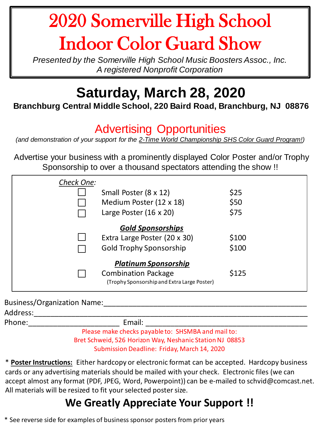# 2020 Somerville High School Indoor Color Guard Show

*Presented by the Somerville High School Music Boosters Assoc., Inc. A registered Nonprofit Corporation*

## **Saturday, March 28, 2020**

#### **Branchburg Central Middle School, 220 Baird Road, Branchburg, NJ 08876**

#### Advertising Opportunities

*(and demonstration of your support for the 2-Time World Championship SHS Color Guard Program!)*

Advertise your business with a prominently displayed Color Poster and/or Trophy Sponsorship to over a thousand spectators attending the show !!

| Check One:                  |                                                                           |       |  |
|-----------------------------|---------------------------------------------------------------------------|-------|--|
|                             | Small Poster (8 x 12)                                                     | \$25  |  |
|                             | Medium Poster (12 x 18)                                                   | \$50  |  |
|                             | Large Poster $(16 \times 20)$                                             | \$75  |  |
| <b>Gold Sponsorships</b>    |                                                                           |       |  |
|                             | Extra Large Poster (20 x 30)                                              | \$100 |  |
|                             | <b>Gold Trophy Sponsorship</b>                                            | \$100 |  |
| <b>Platinum Sponsorship</b> |                                                                           |       |  |
|                             | <b>Combination Package</b><br>(Trophy Sponsorship and Extra Large Poster) | \$125 |  |
|                             |                                                                           |       |  |

| <b>Business/Organization Name:</b> |                                                    |  |
|------------------------------------|----------------------------------------------------|--|
| Address:                           |                                                    |  |
| Phone:                             | Email:                                             |  |
|                                    | Please make checks navable to: SHSMRA and mail to: |  |

Please make checks payable to: SHSMBA and mail to: Bret Schweid, 526 Horizon Way, Neshanic Station NJ 08853 Submission Deadline: Friday, March 14, 2020

\* **Poster Instructions:** Either hardcopy or electronic format can be accepted. Hardcopy business cards or any advertising materials should be mailed with your check. Electronic files (we can accept almost any format (PDF, JPEG, Word, Powerpoint)) can be e-mailed to schvid@comcast.net. All materials will be resized to fit your selected poster size.

### **We Greatly Appreciate Your Support !!**

\* See reverse side for examples of business sponsor posters from prior years